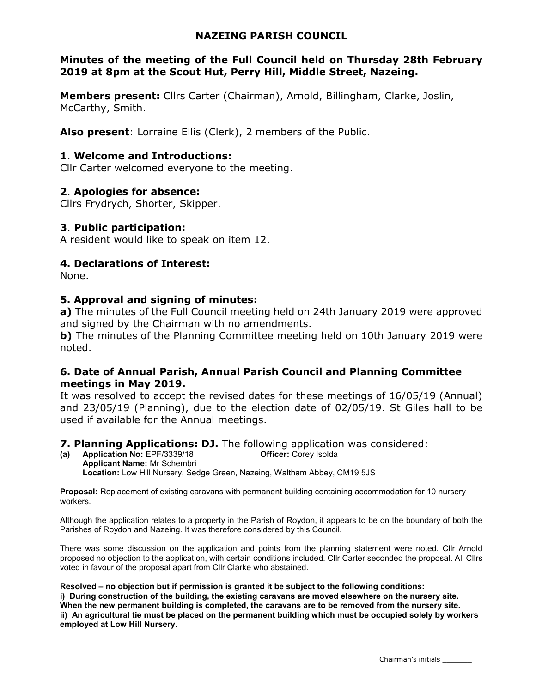#### NAZEING PARISH COUNCIL

#### Minutes of the meeting of the Full Council held on Thursday 28th February 2019 at 8pm at the Scout Hut, Perry Hill, Middle Street, Nazeing.

Members present: Cllrs Carter (Chairman), Arnold, Billingham, Clarke, Joslin, McCarthy, Smith.

Also present: Lorraine Ellis (Clerk), 2 members of the Public.

#### 1. Welcome and Introductions:

Cllr Carter welcomed everyone to the meeting.

#### 2. Apologies for absence:

Cllrs Frydrych, Shorter, Skipper.

#### 3. Public participation:

A resident would like to speak on item 12.

#### 4. Declarations of Interest:

None.

#### 5. Approval and signing of minutes:

a) The minutes of the Full Council meeting held on 24th January 2019 were approved and signed by the Chairman with no amendments.

b) The minutes of the Planning Committee meeting held on 10th January 2019 were noted.

#### 6. Date of Annual Parish, Annual Parish Council and Planning Committee meetings in May 2019.

It was resolved to accept the revised dates for these meetings of 16/05/19 (Annual) and 23/05/19 (Planning), due to the election date of 02/05/19. St Giles hall to be used if available for the Annual meetings.

# **7. Planning Applications: DJ.** The following application was considered:<br>(a) Application No: EPF/3339/18 **Officer:** Corey Isolda

(a) Application No:  $EPF/3339/18$ Applicant Name: Mr Schembri Location: Low Hill Nursery, Sedge Green, Nazeing, Waltham Abbey, CM19 5JS

Proposal: Replacement of existing caravans with permanent building containing accommodation for 10 nursery workers.

Although the application relates to a property in the Parish of Roydon, it appears to be on the boundary of both the Parishes of Roydon and Nazeing. It was therefore considered by this Council.

There was some discussion on the application and points from the planning statement were noted. Cllr Arnold proposed no objection to the application, with certain conditions included. Cllr Carter seconded the proposal. All Cllrs voted in favour of the proposal apart from Cllr Clarke who abstained.

Resolved – no objection but if permission is granted it be subject to the following conditions: i) During construction of the building, the existing caravans are moved elsewhere on the nursery site. When the new permanent building is completed, the caravans are to be removed from the nursery site. ii) An agricultural tie must be placed on the permanent building which must be occupied solely by workers employed at Low Hill Nursery.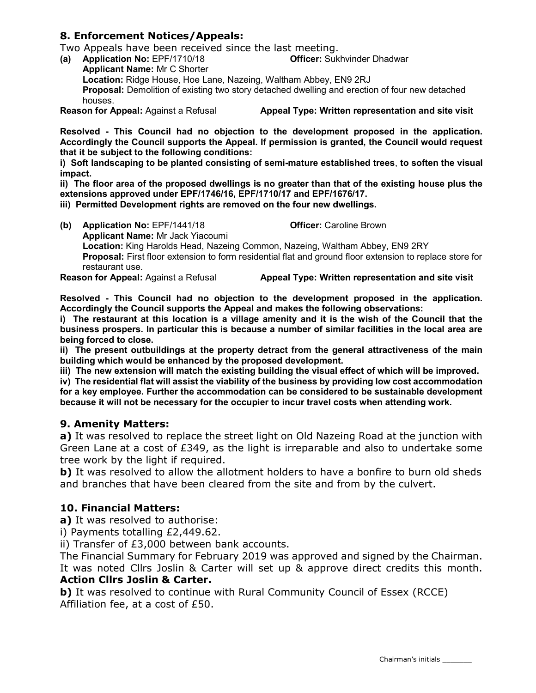#### 8. Enforcement Notices/Appeals:

Two Appeals have been received since the last meeting.

(a) Application No: EPF/1710/18 Officer: Sukhvinder Dhadwar Applicant Name: Mr C Shorter Location: Ridge House, Hoe Lane, Nazeing, Waltham Abbey, EN9 2RJ Proposal: Demolition of existing two story detached dwelling and erection of four new detached houses.

Reason for Appeal: Against a Refusal **Appeal Type: Written representation and site visit** 

Resolved - This Council had no objection to the development proposed in the application. Accordingly the Council supports the Appeal. If permission is granted, the Council would request that it be subject to the following conditions:

i) Soft landscaping to be planted consisting of semi-mature established trees, to soften the visual impact.

ii) The floor area of the proposed dwellings is no greater than that of the existing house plus the extensions approved under EPF/1746/16, EPF/1710/17 and EPF/1676/17.

iii) Permitted Development rights are removed on the four new dwellings.

(b) Application No: EPF/1441/18 Officer: Caroline Brown Applicant Name: Mr Jack Yiacoumi Location: King Harolds Head, Nazeing Common, Nazeing, Waltham Abbey, EN9 2RY Proposal: First floor extension to form residential flat and ground floor extension to replace store for restaurant use.

Reason for Appeal: Against a Refusal **Appeal Type: Written representation and site visit** 

Resolved - This Council had no objection to the development proposed in the application. Accordingly the Council supports the Appeal and makes the following observations:

i) The restaurant at this location is a village amenity and it is the wish of the Council that the business prospers. In particular this is because a number of similar facilities in the local area are being forced to close.

ii) The present outbuildings at the property detract from the general attractiveness of the main building which would be enhanced by the proposed development.

iii) The new extension will match the existing building the visual effect of which will be improved.

iv) The residential flat will assist the viability of the business by providing low cost accommodation for a key employee. Further the accommodation can be considered to be sustainable development because it will not be necessary for the occupier to incur travel costs when attending work.

#### 9. Amenity Matters:

a) It was resolved to replace the street light on Old Nazeing Road at the junction with Green Lane at a cost of £349, as the light is irreparable and also to undertake some tree work by the light if required.

b) It was resolved to allow the allotment holders to have a bonfire to burn old sheds and branches that have been cleared from the site and from by the culvert.

#### 10. Financial Matters:

a) It was resolved to authorise:

i) Payments totalling £2,449.62.

ii) Transfer of £3,000 between bank accounts.

The Financial Summary for February 2019 was approved and signed by the Chairman. It was noted Cllrs Joslin & Carter will set up & approve direct credits this month. Action Cllrs Joslin & Carter.

b) It was resolved to continue with Rural Community Council of Essex (RCCE) Affiliation fee, at a cost of £50.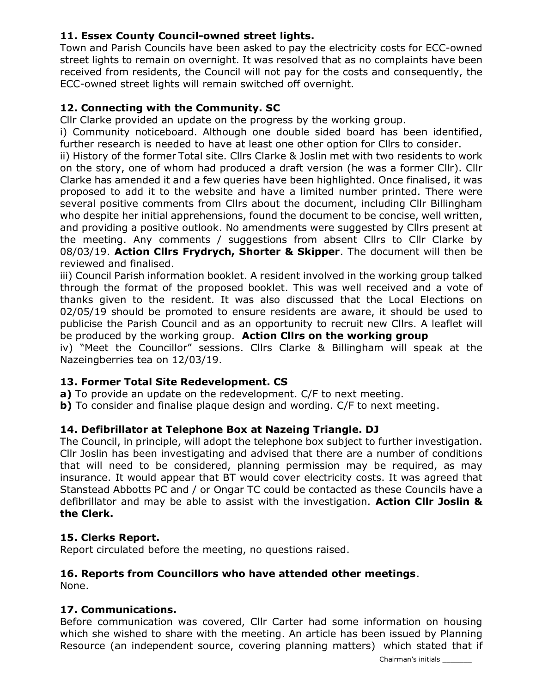## 11. Essex County Council-owned street lights.

Town and Parish Councils have been asked to pay the electricity costs for ECC-owned street lights to remain on overnight. It was resolved that as no complaints have been received from residents, the Council will not pay for the costs and consequently, the ECC-owned street lights will remain switched off overnight.

#### 12. Connecting with the Community. SC

Cllr Clarke provided an update on the progress by the working group.

i) Community noticeboard. Although one double sided board has been identified, further research is needed to have at least one other option for Cllrs to consider.

ii) History of the former Total site. Cllrs Clarke & Joslin met with two residents to work on the story, one of whom had produced a draft version (he was a former Cllr). Cllr Clarke has amended it and a few queries have been highlighted. Once finalised, it was proposed to add it to the website and have a limited number printed. There were several positive comments from Cllrs about the document, including Cllr Billingham who despite her initial apprehensions, found the document to be concise, well written, and providing a positive outlook. No amendments were suggested by Cllrs present at the meeting. Any comments / suggestions from absent Cllrs to Cllr Clarke by 08/03/19. Action Cllrs Frydrych, Shorter & Skipper. The document will then be reviewed and finalised.

iii) Council Parish information booklet. A resident involved in the working group talked through the format of the proposed booklet. This was well received and a vote of thanks given to the resident. It was also discussed that the Local Elections on 02/05/19 should be promoted to ensure residents are aware, it should be used to publicise the Parish Council and as an opportunity to recruit new Cllrs. A leaflet will be produced by the working group. Action Cllrs on the working group

iv) "Meet the Councillor" sessions. Cllrs Clarke & Billingham will speak at the Nazeingberries tea on 12/03/19.

### 13. Former Total Site Redevelopment. CS

a) To provide an update on the redevelopment. C/F to next meeting.

**b)** To consider and finalise plaque design and wording. C/F to next meeting.

#### 14. Defibrillator at Telephone Box at Nazeing Triangle. DJ

The Council, in principle, will adopt the telephone box subject to further investigation. Cllr Joslin has been investigating and advised that there are a number of conditions that will need to be considered, planning permission may be required, as may insurance. It would appear that BT would cover electricity costs. It was agreed that Stanstead Abbotts PC and / or Ongar TC could be contacted as these Councils have a defibrillator and may be able to assist with the investigation. Action Cllr Joslin & the Clerk.

#### 15. Clerks Report.

Report circulated before the meeting, no questions raised.

# 16. Reports from Councillors who have attended other meetings.

None.

#### 17. Communications.

Before communication was covered, Cllr Carter had some information on housing which she wished to share with the meeting. An article has been issued by Planning Resource (an independent source, covering planning matters) which stated that if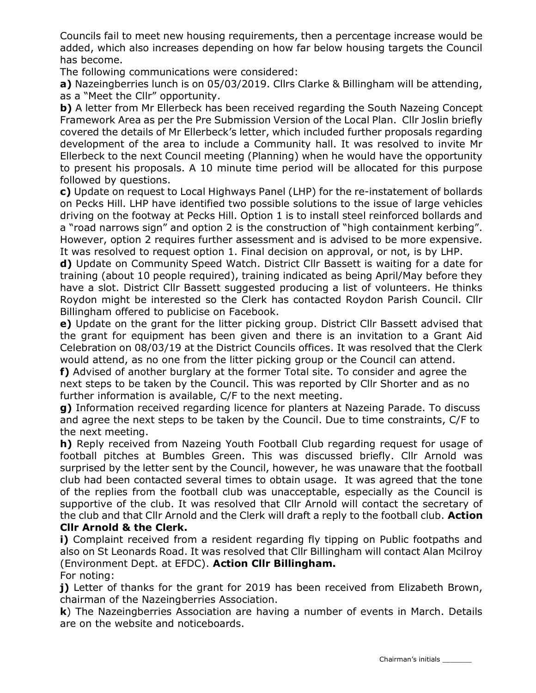Councils fail to meet new housing requirements, then a percentage increase would be added, which also increases depending on how far below housing targets the Council has become.

The following communications were considered:

a) Nazeingberries lunch is on 05/03/2019. Cllrs Clarke & Billingham will be attending, as a "Meet the Cllr" opportunity.

b) A letter from Mr Ellerbeck has been received regarding the South Nazeing Concept Framework Area as per the Pre Submission Version of the Local Plan. Cllr Joslin briefly covered the details of Mr Ellerbeck's letter, which included further proposals regarding development of the area to include a Community hall. It was resolved to invite Mr Ellerbeck to the next Council meeting (Planning) when he would have the opportunity to present his proposals. A 10 minute time period will be allocated for this purpose followed by questions.

c) Update on request to Local Highways Panel (LHP) for the re-instatement of bollards on Pecks Hill. LHP have identified two possible solutions to the issue of large vehicles driving on the footway at Pecks Hill. Option 1 is to install steel reinforced bollards and a "road narrows sign" and option 2 is the construction of "high containment kerbing". However, option 2 requires further assessment and is advised to be more expensive. It was resolved to request option 1. Final decision on approval, or not, is by LHP.

d) Update on Community Speed Watch. District Cllr Bassett is waiting for a date for training (about 10 people required), training indicated as being April/May before they have a slot. District Cllr Bassett suggested producing a list of volunteers. He thinks Roydon might be interested so the Clerk has contacted Roydon Parish Council. Cllr Billingham offered to publicise on Facebook.

e) Update on the grant for the litter picking group. District Cllr Bassett advised that the grant for equipment has been given and there is an invitation to a Grant Aid Celebration on 08/03/19 at the District Councils offices. It was resolved that the Clerk would attend, as no one from the litter picking group or the Council can attend.

f) Advised of another burglary at the former Total site. To consider and agree the next steps to be taken by the Council. This was reported by Cllr Shorter and as no further information is available, C/F to the next meeting.

g) Information received regarding licence for planters at Nazeing Parade. To discuss and agree the next steps to be taken by the Council. Due to time constraints, C/F to the next meeting.

h) Reply received from Nazeing Youth Football Club regarding request for usage of football pitches at Bumbles Green. This was discussed briefly. Cllr Arnold was surprised by the letter sent by the Council, however, he was unaware that the football club had been contacted several times to obtain usage. It was agreed that the tone of the replies from the football club was unacceptable, especially as the Council is supportive of the club. It was resolved that Cllr Arnold will contact the secretary of the club and that Cllr Arnold and the Clerk will draft a reply to the football club. **Action** 

#### Cllr Arnold & the Clerk.

i) Complaint received from a resident regarding fly tipping on Public footpaths and also on St Leonards Road. It was resolved that Cllr Billingham will contact Alan Mcilroy (Environment Dept. at EFDC). Action Cllr Billingham.

#### For noting:

j) Letter of thanks for the grant for 2019 has been received from Elizabeth Brown, chairman of the Nazeingberries Association.

k) The Nazeingberries Association are having a number of events in March. Details are on the website and noticeboards.